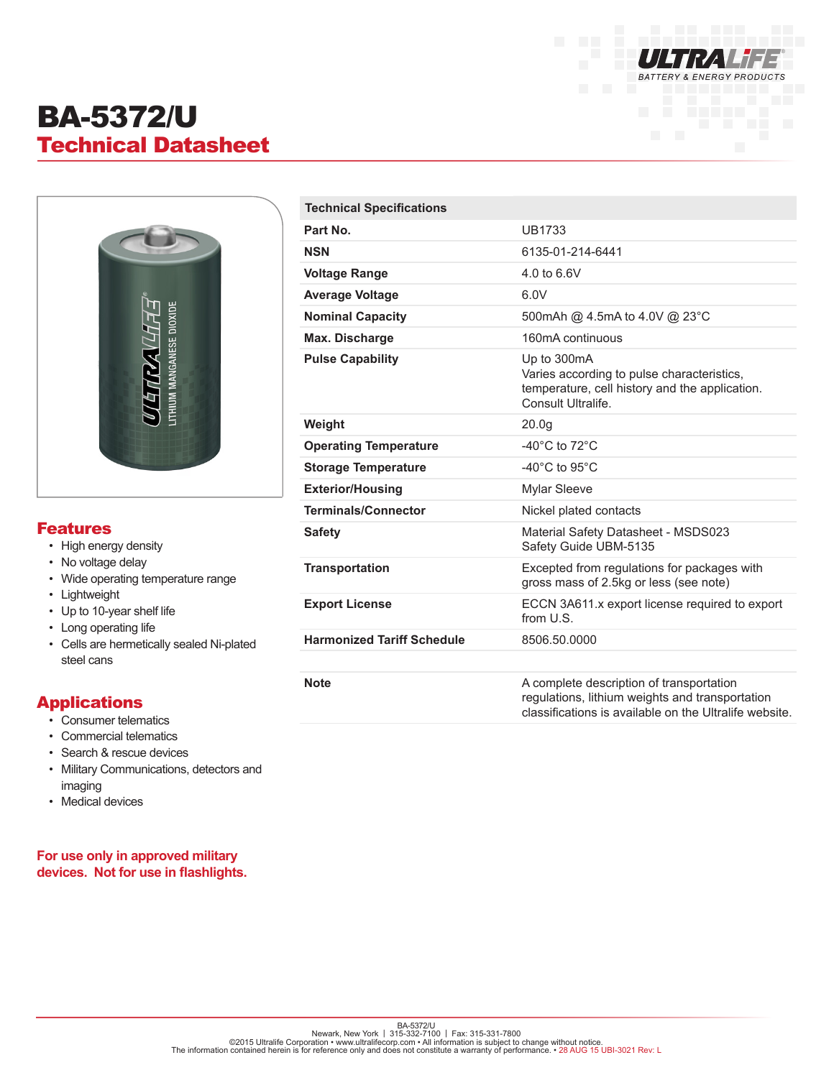

# BA-5372/U Technical Datasheet



### Features

- High energy density
- No voltage delay
- Wide operating temperature range
- Lightweight
- Up to 10-year shelf life
- Long operating life
- Cells are hermetically sealed Ni-plated steel cans

## Applications

- Consumer telematics
- Commercial telematics
- Search & rescue devices
- Military Communications, detectors and imaging
- Medical devices

#### **For use only in approved military devices. Not for use in flashlights.**

| <b>Technical Specifications</b>   |                                                                                                                                                       |
|-----------------------------------|-------------------------------------------------------------------------------------------------------------------------------------------------------|
| Part No.                          | <b>UB1733</b>                                                                                                                                         |
| <b>NSN</b>                        | 6135-01-214-6441                                                                                                                                      |
| <b>Voltage Range</b>              | 4.0 to 6.6V                                                                                                                                           |
| <b>Average Voltage</b>            | 6.0V                                                                                                                                                  |
| <b>Nominal Capacity</b>           | 500 mAh @ 4.5 mA to 4.0 V @ 23 °C                                                                                                                     |
| <b>Max. Discharge</b>             | 160mA continuous                                                                                                                                      |
| <b>Pulse Capability</b>           | Up to 300mA<br>Varies according to pulse characteristics,<br>temperature, cell history and the application.<br>Consult Ultralife.                     |
| Weight                            | 20.0q                                                                                                                                                 |
| <b>Operating Temperature</b>      | $-40^{\circ}$ C to $72^{\circ}$ C                                                                                                                     |
| <b>Storage Temperature</b>        | -40 $^{\circ}$ C to 95 $^{\circ}$ C                                                                                                                   |
| <b>Exterior/Housing</b>           | Mylar Sleeve                                                                                                                                          |
| <b>Terminals/Connector</b>        | Nickel plated contacts                                                                                                                                |
| <b>Safety</b>                     | Material Safety Datasheet - MSDS023<br>Safety Guide UBM-5135                                                                                          |
| <b>Transportation</b>             | Excepted from regulations for packages with<br>gross mass of 2.5kg or less (see note)                                                                 |
| <b>Export License</b>             | ECCN 3A611.x export license required to export<br>from U.S.                                                                                           |
| <b>Harmonized Tariff Schedule</b> | 8506.50.0000                                                                                                                                          |
|                                   |                                                                                                                                                       |
| <b>Note</b>                       | A complete description of transportation<br>regulations, lithium weights and transportation<br>classifications is available on the Ultralife website. |